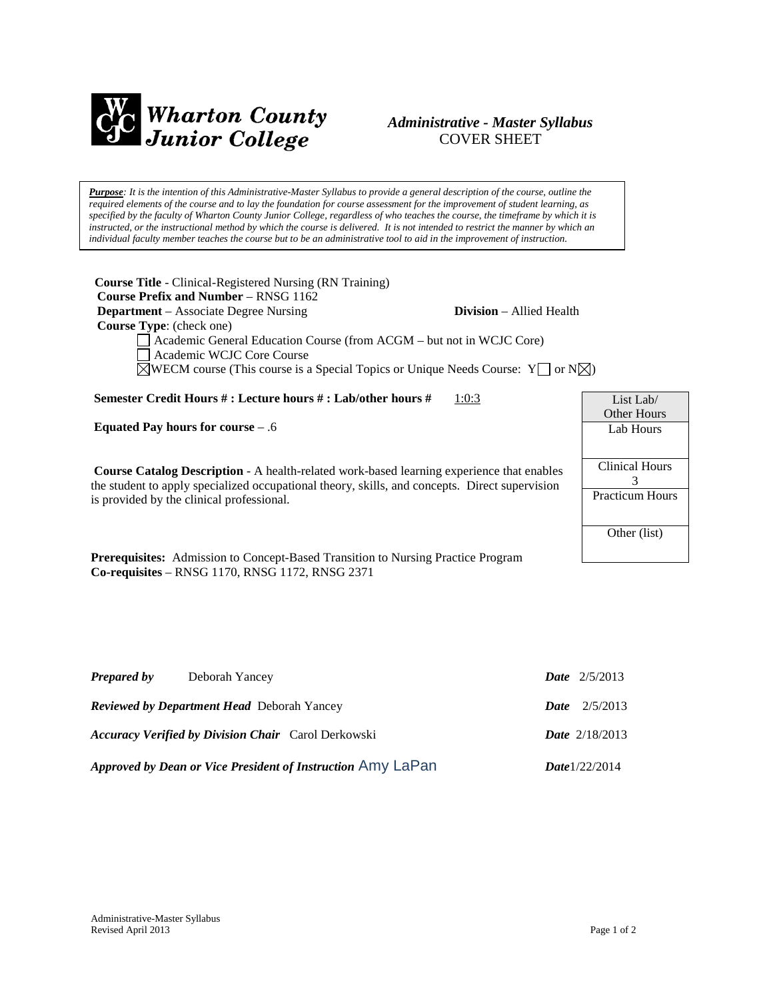

# *Administrative - Master Syllabus*  COVER SHEET

*Purpose: It is the intention of this Administrative-Master Syllabus to provide a general description of the course, outline the required elements of the course and to lay the foundation for course assessment for the improvement of student learning, as specified by the faculty of Wharton County Junior College, regardless of who teaches the course, the timeframe by which it is instructed, or the instructional method by which the course is delivered. It is not intended to restrict the manner by which an individual faculty member teaches the course but to be an administrative tool to aid in the improvement of instruction.*

**Course Title** - Clinical-Registered Nursing (RN Training)  **Course Prefix and Number** – RNSG 1162 **Department** – Associate Degree Nursing **Division** – Allied Health  **Course Type**: (check one) Academic General Education Course (from ACGM – but not in WCJC Core) Academic WCJC Core Course  $\boxtimes$ WECM course (This course is a Special Topics or Unique Needs Course: Y  $\Box$  or N $\boxtimes$ )

**Semester Credit Hours # : Lecture hours # : Lab/other hours #** 1:0:3

**Equated Pay hours for course** – .6

**Course Catalog Description** - A health-related work-based learning experience that enables the student to apply specialized occupational theory, skills, and concepts. Direct supervision is provided by the clinical professional.

**Prerequisites:** Admission to Concept-Based Transition to Nursing Practice Program **Co-requisites** – RNSG 1170, RNSG 1172, RNSG 2371

| <b>Prepared by</b>                                | Deborah Yancey                                              | <b>Date</b> $2/5/2013$  |
|---------------------------------------------------|-------------------------------------------------------------|-------------------------|
| <b>Reviewed by Department Head</b> Deborah Yancey |                                                             | <b>Date</b> $2/5/2013$  |
|                                                   | <b>Accuracy Verified by Division Chair</b> Carol Derkowski  | <b>Date</b> $2/18/2013$ |
|                                                   | Approved by Dean or Vice President of Instruction Amy LaPan | <b>Date</b> $1/22/2014$ |

| List Lab/              |  |  |
|------------------------|--|--|
| Other Hours            |  |  |
| Lab Hours              |  |  |
|                        |  |  |
| <b>Clinical Hours</b>  |  |  |
| 3                      |  |  |
| <b>Practicum Hours</b> |  |  |
|                        |  |  |
|                        |  |  |
| Other (list)           |  |  |
|                        |  |  |